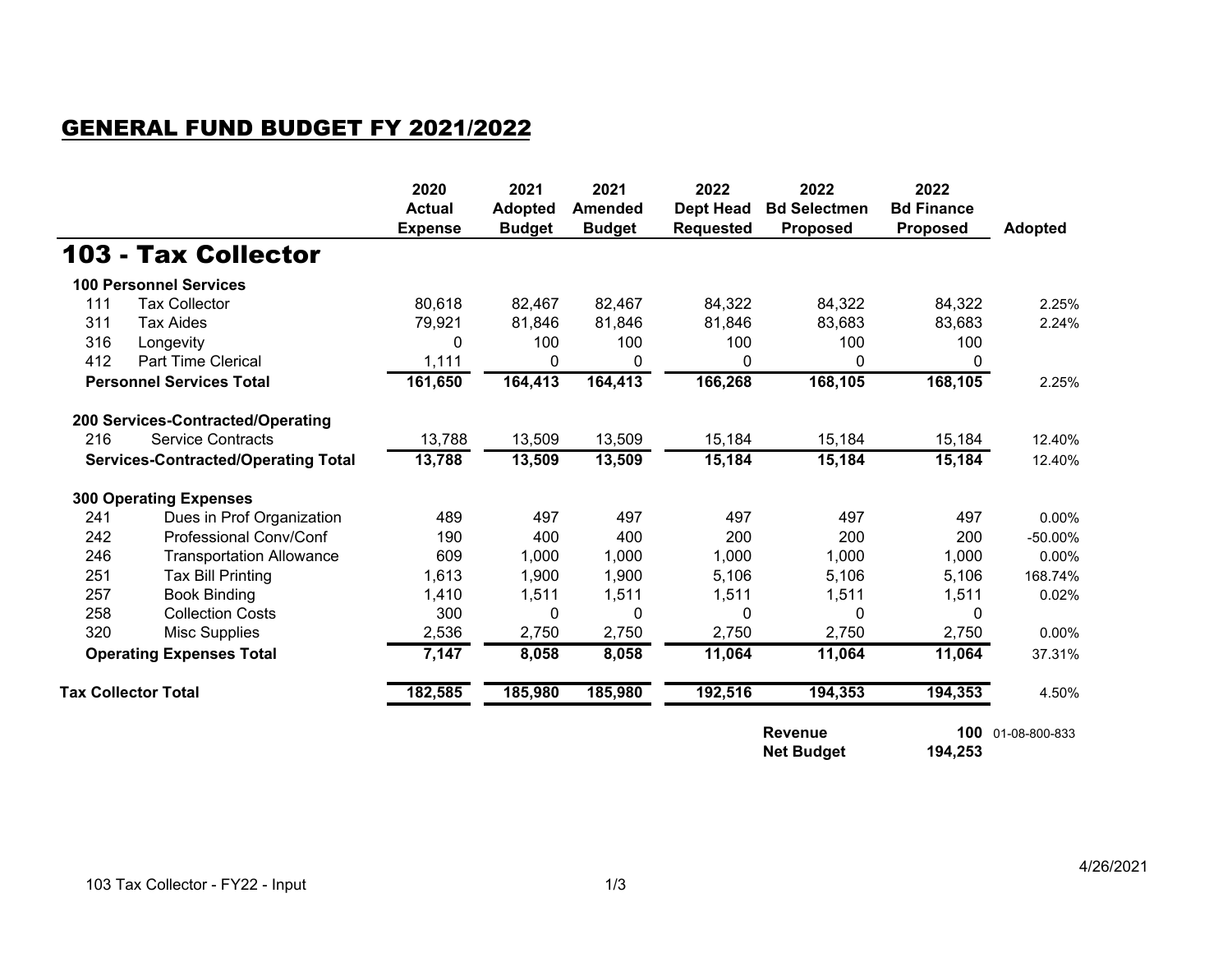## GENERAL FUND BUDGET FY 2021/2022

|                                            |                                   | 2020<br><b>Actual</b><br><b>Expense</b> | 2021<br><b>Adopted</b><br><b>Budget</b> | 2021<br><b>Amended</b><br><b>Budget</b> | 2022<br><b>Dept Head</b><br><b>Requested</b> | 2022<br><b>Bd Selectmen</b><br><b>Proposed</b> | 2022<br><b>Bd Finance</b><br><b>Proposed</b> | <b>Adopted</b> |
|--------------------------------------------|-----------------------------------|-----------------------------------------|-----------------------------------------|-----------------------------------------|----------------------------------------------|------------------------------------------------|----------------------------------------------|----------------|
|                                            | 103 - Tax Collector               |                                         |                                         |                                         |                                              |                                                |                                              |                |
|                                            | <b>100 Personnel Services</b>     |                                         |                                         |                                         |                                              |                                                |                                              |                |
| 111                                        | <b>Tax Collector</b>              | 80,618                                  | 82,467                                  | 82,467                                  | 84,322                                       | 84,322                                         | 84,322                                       | 2.25%          |
| 311                                        | <b>Tax Aides</b>                  | 79,921                                  | 81,846                                  | 81,846                                  | 81,846                                       | 83,683                                         | 83,683                                       | 2.24%          |
| 316                                        | Longevity                         | 0                                       | 100                                     | 100                                     | 100                                          | 100                                            | 100                                          |                |
| 412                                        | <b>Part Time Clerical</b>         | 1,111                                   | 0                                       | 0                                       | 0                                            | 0                                              | $\mathbf{0}$                                 |                |
| <b>Personnel Services Total</b>            |                                   | 161,650                                 | 164,413                                 | 164,413                                 | 166,268                                      | 168,105                                        | 168,105                                      | 2.25%          |
|                                            | 200 Services-Contracted/Operating |                                         |                                         |                                         |                                              |                                                |                                              |                |
| 216                                        | <b>Service Contracts</b>          | 13,788                                  | 13,509                                  | 13,509                                  | 15,184                                       | 15,184                                         | 15,184                                       | 12.40%         |
| <b>Services-Contracted/Operating Total</b> |                                   | 13,788                                  | 13,509                                  | 13,509                                  | 15,184                                       | 15,184                                         | 15,184                                       | 12.40%         |
|                                            | <b>300 Operating Expenses</b>     |                                         |                                         |                                         |                                              |                                                |                                              |                |
| 241                                        | Dues in Prof Organization         | 489                                     | 497                                     | 497                                     | 497                                          | 497                                            | 497                                          | $0.00\%$       |
| 242                                        | <b>Professional Conv/Conf</b>     | 190                                     | 400                                     | 400                                     | 200                                          | 200                                            | 200                                          | -50.00%        |
| 246                                        | <b>Transportation Allowance</b>   | 609                                     | 1,000                                   | 1,000                                   | 1,000                                        | 1,000                                          | 1,000                                        | 0.00%          |
| 251                                        | <b>Tax Bill Printing</b>          | 1,613                                   | 1,900                                   | 1,900                                   | 5,106                                        | 5,106                                          | 5,106                                        | 168.74%        |
| 257                                        | <b>Book Binding</b>               | 1,410                                   | 1,511                                   | 1,511                                   | 1,511                                        | 1,511                                          | 1,511                                        | 0.02%          |
| 258                                        | <b>Collection Costs</b>           | 300                                     | 0                                       | 0                                       | 0                                            | 0                                              | $\mathbf{0}$                                 |                |
| 320                                        | <b>Misc Supplies</b>              | 2,536                                   | 2,750                                   | 2,750                                   | 2,750                                        | 2,750                                          | 2,750                                        | 0.00%          |
| <b>Operating Expenses Total</b>            |                                   | 7,147                                   | 8,058                                   | 8,058                                   | 11,064                                       | 11,064                                         | 11,064                                       | 37.31%         |
| <b>Tax Collector Total</b>                 |                                   | 182,585                                 | 185,980                                 | 185,980                                 | 192,516                                      | 194,353                                        | 194,353                                      | 4.50%          |
|                                            |                                   |                                         |                                         |                                         |                                              | <b>Revenue</b><br><b>Net Budget</b>            | 100<br>194,253                               | 01-08-800-833  |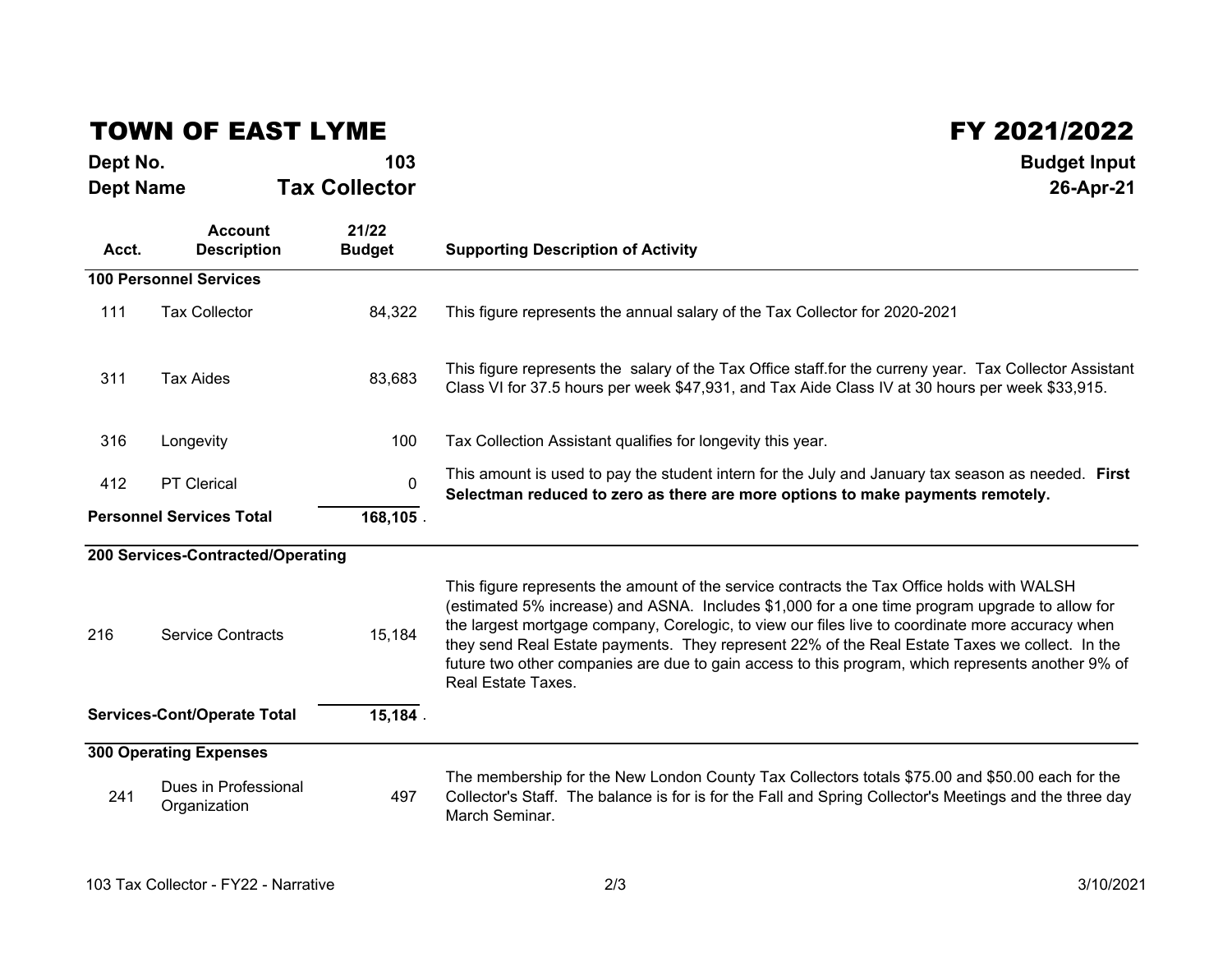## TOWN OF EAST LYME

## $\mathsf{FY}$  2021/2022<br> $\mathsf{FY}$  2021/2022

| Dept No.                                      |                                      | 103                    | <b>Budget Input</b>                                                                                                                                                                                                                                                                                                                                                                                                                                                                                                           |
|-----------------------------------------------|--------------------------------------|------------------------|-------------------------------------------------------------------------------------------------------------------------------------------------------------------------------------------------------------------------------------------------------------------------------------------------------------------------------------------------------------------------------------------------------------------------------------------------------------------------------------------------------------------------------|
| <b>Dept Name</b>                              |                                      | <b>Tax Collector</b>   | 26-Apr-21                                                                                                                                                                                                                                                                                                                                                                                                                                                                                                                     |
| Acct.                                         | <b>Account</b><br><b>Description</b> | 21/22<br><b>Budget</b> | <b>Supporting Description of Activity</b>                                                                                                                                                                                                                                                                                                                                                                                                                                                                                     |
|                                               | <b>100 Personnel Services</b>        |                        |                                                                                                                                                                                                                                                                                                                                                                                                                                                                                                                               |
| 111                                           | <b>Tax Collector</b>                 | 84,322                 | This figure represents the annual salary of the Tax Collector for 2020-2021                                                                                                                                                                                                                                                                                                                                                                                                                                                   |
| 311                                           | <b>Tax Aides</b>                     | 83,683                 | This figure represents the salary of the Tax Office staff.for the curreny year. Tax Collector Assistant<br>Class VI for 37.5 hours per week \$47,931, and Tax Aide Class IV at 30 hours per week \$33,915.                                                                                                                                                                                                                                                                                                                    |
| 316                                           | Longevity                            | 100                    | Tax Collection Assistant qualifies for longevity this year.                                                                                                                                                                                                                                                                                                                                                                                                                                                                   |
| 412                                           | <b>PT Clerical</b>                   | $\mathbf 0$            | This amount is used to pay the student intern for the July and January tax season as needed. First<br>Selectman reduced to zero as there are more options to make payments remotely.                                                                                                                                                                                                                                                                                                                                          |
| <b>Personnel Services Total</b><br>168,105.   |                                      |                        |                                                                                                                                                                                                                                                                                                                                                                                                                                                                                                                               |
|                                               | 200 Services-Contracted/Operating    |                        |                                                                                                                                                                                                                                                                                                                                                                                                                                                                                                                               |
| 216                                           | <b>Service Contracts</b>             | 15,184                 | This figure represents the amount of the service contracts the Tax Office holds with WALSH<br>(estimated 5% increase) and ASNA. Includes \$1,000 for a one time program upgrade to allow for<br>the largest mortgage company, Corelogic, to view our files live to coordinate more accuracy when<br>they send Real Estate payments. They represent 22% of the Real Estate Taxes we collect. In the<br>future two other companies are due to gain access to this program, which represents another 9% of<br>Real Estate Taxes. |
| 15,184.<br><b>Services-Cont/Operate Total</b> |                                      |                        |                                                                                                                                                                                                                                                                                                                                                                                                                                                                                                                               |
|                                               | <b>300 Operating Expenses</b>        |                        |                                                                                                                                                                                                                                                                                                                                                                                                                                                                                                                               |
| 241                                           | Dues in Professional<br>Organization | 497                    | The membership for the New London County Tax Collectors totals \$75.00 and \$50.00 each for the<br>Collector's Staff. The balance is for is for the Fall and Spring Collector's Meetings and the three day<br>March Seminar.                                                                                                                                                                                                                                                                                                  |